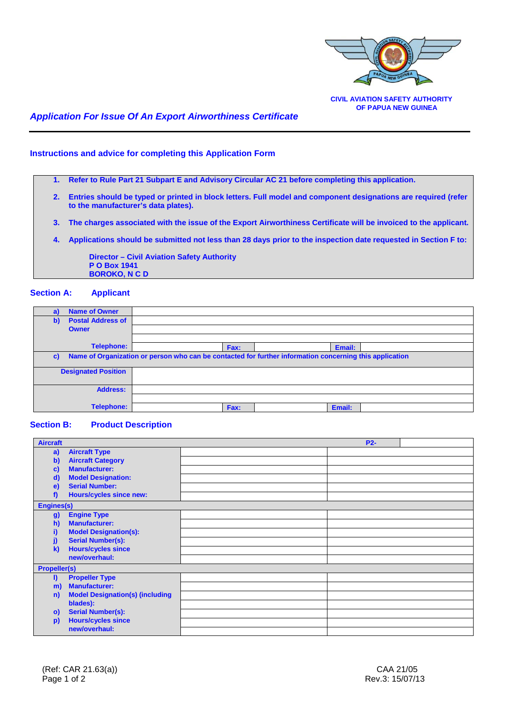

# *Application For Issue Of An Export Airworthiness Certificate*

#### **Instructions and advice for completing this Application Form**

**1. Refer to Rule Part 21 Subpart E and Advisory Circular AC 21 before completing this application.**

- **2. Entries should be typed or printed in block letters. Full model and component designations are required (refer to the manufacturer's data plates).**
- **3. The charges associated with the issue of the Export Airworthiness Certificate will be invoiced to the applicant.**
- **4. Applications should be submitted not less than 28 days prior to the inspection date requested in Section F to:**

 **Director – Civil Aviation Safety Authority P O Box 1941 BOROKO, N C D**

## **Section A: Applicant**

| <b>Name of Owner</b><br>a)               |                                                                                                         |        |  |
|------------------------------------------|---------------------------------------------------------------------------------------------------------|--------|--|
| <b>Postal Address of</b><br>$\mathbf{b}$ |                                                                                                         |        |  |
| <b>Owner</b>                             |                                                                                                         |        |  |
|                                          |                                                                                                         |        |  |
| <b>Telephone:</b>                        | Fax:                                                                                                    | Email: |  |
| $\mathbf{c}$                             | Name of Organization or person who can be contacted for further information concerning this application |        |  |
| <b>Designated Position</b>               |                                                                                                         |        |  |
| <b>Address:</b>                          |                                                                                                         |        |  |
|                                          |                                                                                                         |        |  |
| <b>Telephone:</b>                        | Fax:                                                                                                    | Email: |  |

#### **Section B: Product Description**

| <b>Aircraft</b>                           |                                        |  | <b>P2-</b> |  |
|-------------------------------------------|----------------------------------------|--|------------|--|
| a)                                        | <b>Aircraft Type</b>                   |  |            |  |
| $\mathbf{b}$                              | <b>Aircraft Category</b>               |  |            |  |
| c)                                        | <b>Manufacturer:</b>                   |  |            |  |
| $\mathbf{d}$                              | <b>Model Designation:</b>              |  |            |  |
| $\epsilon$                                | <b>Serial Number:</b>                  |  |            |  |
| f)                                        | <b>Hours/cycles since new:</b>         |  |            |  |
| <b>Engines(s)</b>                         |                                        |  |            |  |
| <b>g)</b>                                 | <b>Engine Type</b>                     |  |            |  |
| h)                                        | <b>Manufacturer:</b>                   |  |            |  |
| i)                                        | <b>Model Designation(s):</b>           |  |            |  |
| j)                                        | <b>Serial Number(s):</b>               |  |            |  |
| <b>Hours/cycles since</b><br>$\mathbf{k}$ |                                        |  |            |  |
|                                           | new/overhaul:                          |  |            |  |
| <b>Propeller(s)</b>                       |                                        |  |            |  |
| I)                                        | <b>Propeller Type</b>                  |  |            |  |
| m)                                        | <b>Manufacturer:</b>                   |  |            |  |
| n)                                        | <b>Model Designation(s) (including</b> |  |            |  |
|                                           | blades):                               |  |            |  |
| $\circ$                                   | <b>Serial Number(s):</b>               |  |            |  |
| p)                                        | <b>Hours/cycles since</b>              |  |            |  |
|                                           | new/overhaul:                          |  |            |  |